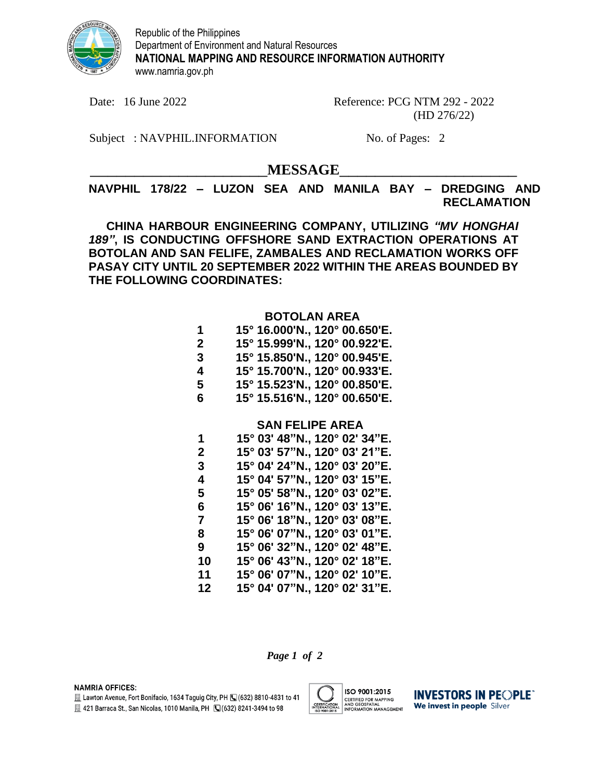

Republic of the Philippines Department of Environment and Natural Resources **NATIONAL MAPPING AND RESOURCE INFORMATION AUTHORITY** www.namria.gov.ph

Date: 16 June 2022 Reference: PCG NTM 292 - 2022 (HD 276/22)

Subject: NAVPHIL.INFORMATION No. of Pages: 2

\_\_\_\_\_\_\_\_\_\_\_\_\_\_\_\_\_\_\_\_**MESSAGE**\_\_\_\_\_\_\_\_\_\_\_\_\_\_\_\_\_\_\_\_

**NAVPHIL 178/22 – LUZON SEA AND MANILA BAY – DREDGING AND RECLAMATION**

**CHINA HARBOUR ENGINEERING COMPANY, UTILIZING** *"MV HONGHAI 189"***, IS CONDUCTING OFFSHORE SAND EXTRACTION OPERATIONS AT BOTOLAN AND SAN FELIFE, ZAMBALES AND RECLAMATION WORKS OFF PASAY CITY UNTIL 20 SEPTEMBER 2022 WITHIN THE AREAS BOUNDED BY THE FOLLOWING COORDINATES:**

## **BOTOLAN AREA**

| 1 | 15° 16.000'N., 120° 00.650'E.    |
|---|----------------------------------|
| 2 | 15° 15.999'N., 120° 00.922'E.    |
| 3 | 15° 15.850'N., 120° 00.945'E.    |
| 4 | 15° 15.700'N., 120° 00.933'E.    |
| 5 | 15° 15.523'N., 120° 00.850'E.    |
| ∼ | 4 EG 4 E E4 CINI – 4000 AO CEOIF |

**6 15° 15.516'N., 120° 00.650'E.**

## **SAN FELIPE AREA**

| 1  | 15° 03' 48"N., 120° 02' 34"E. |
|----|-------------------------------|
| 2  | 15° 03' 57"N., 120° 03' 21"E. |
| 3  | 15° 04' 24"N., 120° 03' 20"E. |
| 4  | 15° 04' 57"N., 120° 03' 15"E. |
| 5  | 15° 05' 58"N., 120° 03' 02"E. |
| 6  | 15° 06' 16"N., 120° 03' 13"E. |
| 7  | 15° 06' 18"N., 120° 03' 08"E. |
| 8  | 15° 06' 07"N., 120° 03' 01"E. |
| 9  | 15° 06' 32"N., 120° 02' 48"E. |
| 10 | 15° 06' 43"N., 120° 02' 18"E. |
| 11 | 15° 06' 07"N., 120° 02' 10"E. |
| 12 | 15° 04' 07"N., 120° 02' 31"E. |

*Page 1 of 2*

**NAMRIA OFFICES:** 

E Lawton Avenue, Fort Bonifacio, 1634 Taguig City, PH (C) (632) 8810-4831 to 41

图 421 Barraca St., San Nicolas, 1010 Manila, PH (3(632) 8241-3494 to 98



**INVESTORS IN PEOPLE** We invest in people Silver